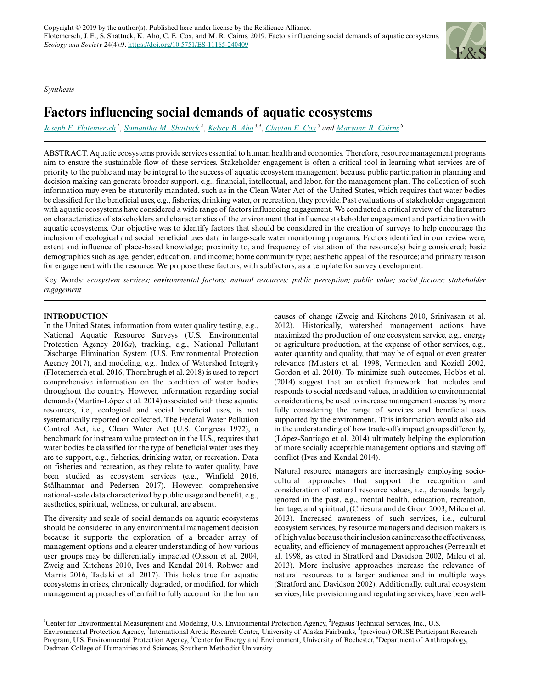*Synthesis*

# **Factors influencing social demands of aquatic ecosystems**

*[Joseph E. Flotemersch](mailto:flotemersch.joseph@epa.gov)<sup>1</sup>* , *[Samantha M. Shattuck](mailto:shattuck.samantha@epa.gov)<sup>2</sup>* , *[Kelsey B. Aho](mailto:ahokelsey@gmail.com) 3,4* , *[Clayton E. Cox](mailto:clayton_cox@urmc.rochester.edu)<sup>5</sup> and [Maryann R. Cairns](mailto:mcairns@smu.edu)<sup>6</sup>*

ABSTRACT. Aquatic ecosystems provide services essential to human health and economies. Therefore, resource management programs aim to ensure the sustainable flow of these services. Stakeholder engagement is often a critical tool in learning what services are of priority to the public and may be integral to the success of aquatic ecosystem management because public participation in planning and decision making can generate broader support, e.g., financial, intellectual, and labor, for the management plan. The collection of such information may even be statutorily mandated, such as in the Clean Water Act of the United States, which requires that water bodies be classified for the beneficial uses, e.g., fisheries, drinking water, or recreation, they provide. Past evaluations of stakeholder engagement with aquatic ecosystems have considered a wide range of factors influencing engagement. We conducted a critical review of the literature on characteristics of stakeholders and characteristics of the environment that influence stakeholder engagement and participation with aquatic ecosystems. Our objective was to identify factors that should be considered in the creation of surveys to help encourage the inclusion of ecological and social beneficial uses data in large-scale water monitoring programs. Factors identified in our review were, extent and influence of place-based knowledge; proximity to, and frequency of visitation of the resource(s) being considered; basic demographics such as age, gender, education, and income; home community type; aesthetic appeal of the resource; and primary reason for engagement with the resource. We propose these factors, with subfactors, as a template for survey development.

Key Words: *ecosystem services; environmental factors; natural resources; public perception; public value; social factors; stakeholder engagement*

# **INTRODUCTION**

In the United States, information from water quality testing, e.g., National Aquatic Resource Surveys (U.S. Environmental Protection Agency 2016*a*), tracking, e.g., National Pollutant Discharge Elimination System (U.S. Environmental Protection Agency 2017), and modeling, e.g., Index of Watershed Integrity (Flotemersch et al. 2016, Thornbrugh et al. 2018) is used to report comprehensive information on the condition of water bodies throughout the country. However, information regarding social demands (Martín-López et al. 2014) associated with these aquatic resources, i.e., ecological and social beneficial uses, is not systematically reported or collected. The Federal Water Pollution Control Act, i.e., Clean Water Act (U.S. Congress 1972), a benchmark for instream value protection in the U.S., requires that water bodies be classified for the type of beneficial water uses they are to support, e.g., fisheries, drinking water, or recreation. Data on fisheries and recreation, as they relate to water quality, have been studied as ecosystem services (e.g., Winfield 2016, Stålhammar and Pedersen 2017). However, comprehensive national-scale data characterized by public usage and benefit, e.g., aesthetics, spiritual, wellness, or cultural, are absent.

The diversity and scale of social demands on aquatic ecosystems should be considered in any environmental management decision because it supports the exploration of a broader array of management options and a clearer understanding of how various user groups may be differentially impacted (Olsson et al. 2004, Zweig and Kitchens 2010, Ives and Kendal 2014, Rohwer and Marris 2016, Tadaki et al. 2017). This holds true for aquatic ecosystems in crises, chronically degraded, or modified, for which management approaches often fail to fully account for the human

causes of change (Zweig and Kitchens 2010, Srinivasan et al. 2012). Historically, watershed management actions have maximized the production of one ecosystem service, e.g., energy or agriculture production, at the expense of other services, e.g., water quantity and quality, that may be of equal or even greater relevance (Musters et al. 1998, Vermeulen and Koziell 2002, Gordon et al. 2010). To minimize such outcomes, Hobbs et al. (2014) suggest that an explicit framework that includes and responds to social needs and values, in addition to environmental considerations, be used to increase management success by more fully considering the range of services and beneficial uses supported by the environment. This information would also aid in the understanding of how trade-offs impact groups differently, (López-Santiago et al. 2014) ultimately helping the exploration of more socially acceptable management options and staving off conflict (Ives and Kendal 2014).

Natural resource managers are increasingly employing sociocultural approaches that support the recognition and consideration of natural resource values, i.e., demands, largely ignored in the past, e.g., mental health, education, recreation, heritage, and spiritual, (Chiesura and de Groot 2003, Milcu et al. 2013). Increased awareness of such services, i.e., cultural ecosystem services, by resource managers and decision makers is of high value because their inclusion can increase the effectiveness, equality, and efficiency of management approaches (Perreault et al. 1998, as cited in Stratford and Davidson 2002, Milcu et al. 2013). More inclusive approaches increase the relevance of natural resources to a larger audience and in multiple ways (Stratford and Davidson 2002). Additionally, cultural ecosystem services, like provisioning and regulating services, have been well-



<sup>&</sup>lt;sup>1</sup>Center for Environmental Measurement and Modeling, U.S. Environmental Protection Agency, <sup>2</sup>Pegasus Technical Services, Inc., U.S. Environmental Protection Agency, <sup>3</sup>International Arctic Research Center, University of Alaska Fairbanks, <sup>4</sup>(previous) ORISE Participant Research Program, U.S. Environmental Protection Agency, <sup>5</sup>Center for Energy and Environment, University of Rochester, <sup>6</sup>Department of Anthropology, Dedman College of Humanities and Sciences, Southern Methodist University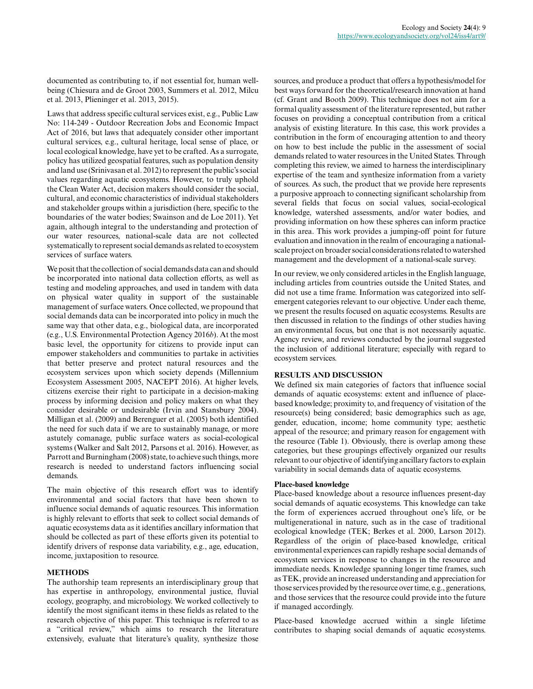documented as contributing to, if not essential for, human wellbeing (Chiesura and de Groot 2003, Summers et al. 2012, Milcu et al. 2013, Plieninger et al. 2013, 2015).

Laws that address specific cultural services exist, e.g., Public Law No: 114-249 - Outdoor Recreation Jobs and Economic Impact Act of 2016, but laws that adequately consider other important cultural services, e.g., cultural heritage, local sense of place, or local ecological knowledge, have yet to be crafted. As a surrogate, policy has utilized geospatial features, such as population density and land use (Srinivasan et al. 2012) to represent the public's social values regarding aquatic ecosystems. However, to truly uphold the Clean Water Act, decision makers should consider the social, cultural, and economic characteristics of individual stakeholders and stakeholder groups within a jurisdiction (here, specific to the boundaries of the water bodies; Swainson and de Loe 2011). Yet again, although integral to the understanding and protection of our water resources, national-scale data are not collected systematically to represent social demands as related to ecosystem services of surface waters.

We posit that the collection of social demands data can and should be incorporated into national data collection efforts, as well as testing and modeling approaches, and used in tandem with data on physical water quality in support of the sustainable management of surface waters. Once collected, we propound that social demands data can be incorporated into policy in much the same way that other data, e.g., biological data, are incorporated (e.g., U.S. Environmental Protection Agency 2016*b*). At the most basic level, the opportunity for citizens to provide input can empower stakeholders and communities to partake in activities that better preserve and protect natural resources and the ecosystem services upon which society depends (Millennium Ecosystem Assessment 2005, NACEPT 2016). At higher levels, citizens exercise their right to participate in a decision-making process by informing decision and policy makers on what they consider desirable or undesirable (Irvin and Stansbury 2004). Milligan et al. (2009) and Berenguer et al. (2005) both identified the need for such data if we are to sustainably manage, or more astutely comanage, public surface waters as social-ecological systems (Walker and Salt 2012, Parsons et al. 2016). However, as Parrott and Burningham (2008) state, to achieve such things, more research is needed to understand factors influencing social demands.

The main objective of this research effort was to identify environmental and social factors that have been shown to influence social demands of aquatic resources. This information is highly relevant to efforts that seek to collect social demands of aquatic ecosystems data as it identifies ancillary information that should be collected as part of these efforts given its potential to identify drivers of response data variability, e.g., age, education, income, juxtaposition to resource.

#### **METHODS**

The authorship team represents an interdisciplinary group that has expertise in anthropology, environmental justice, fluvial ecology, geography, and microbiology. We worked collectively to identify the most significant items in these fields as related to the research objective of this paper. This technique is referred to as a "critical review," which aims to research the literature extensively, evaluate that literature's quality, synthesize those sources, and produce a product that offers a hypothesis/model for best ways forward for the theoretical/research innovation at hand (cf. Grant and Booth 2009). This technique does not aim for a formal quality assessment of the literature represented, but rather focuses on providing a conceptual contribution from a critical analysis of existing literature. In this case, this work provides a contribution in the form of encouraging attention to and theory on how to best include the public in the assessment of social demands related to water resources in the United States. Through completing this review, we aimed to harness the interdisciplinary expertise of the team and synthesize information from a variety of sources. As such, the product that we provide here represents a purposive approach to connecting significant scholarship from several fields that focus on social values, social-ecological knowledge, watershed assessments, and/or water bodies, and providing information on how these spheres can inform practice in this area. This work provides a jumping-off point for future evaluation and innovation in the realm of encouraging a nationalscale project on broader social considerations related to watershed management and the development of a national-scale survey.

In our review, we only considered articles in the English language, including articles from countries outside the United States, and did not use a time frame. Information was categorized into selfemergent categories relevant to our objective. Under each theme, we present the results focused on aquatic ecosystems. Results are then discussed in relation to the findings of other studies having an environmental focus, but one that is not necessarily aquatic. Agency review, and reviews conducted by the journal suggested the inclusion of additional literature; especially with regard to ecosystem services.

# **RESULTS AND DISCUSSION**

We defined six main categories of factors that influence social demands of aquatic ecosystems: extent and influence of placebased knowledge; proximity to, and frequency of visitation of the resource(s) being considered; basic demographics such as age, gender, education, income; home community type; aesthetic appeal of the resource; and primary reason for engagement with the resource (Table 1). Obviously, there is overlap among these categories, but these groupings effectively organized our results relevant to our objective of identifying ancillary factors to explain variability in social demands data of aquatic ecosystems.

#### **Place-based knowledge**

Place-based knowledge about a resource influences present-day social demands of aquatic ecosystems. This knowledge can take the form of experiences accrued throughout one's life, or be multigenerational in nature, such as in the case of traditional ecological knowledge (TEK; Berkes et al. 2000, Larson 2012). Regardless of the origin of place-based knowledge, critical environmental experiences can rapidly reshape social demands of ecosystem services in response to changes in the resource and immediate needs. Knowledge spanning longer time frames, such as TEK, provide an increased understanding and appreciation for those services provided by the resource over time, e.g., generations, and those services that the resource could provide into the future if managed accordingly.

Place-based knowledge accrued within a single lifetime contributes to shaping social demands of aquatic ecosystems.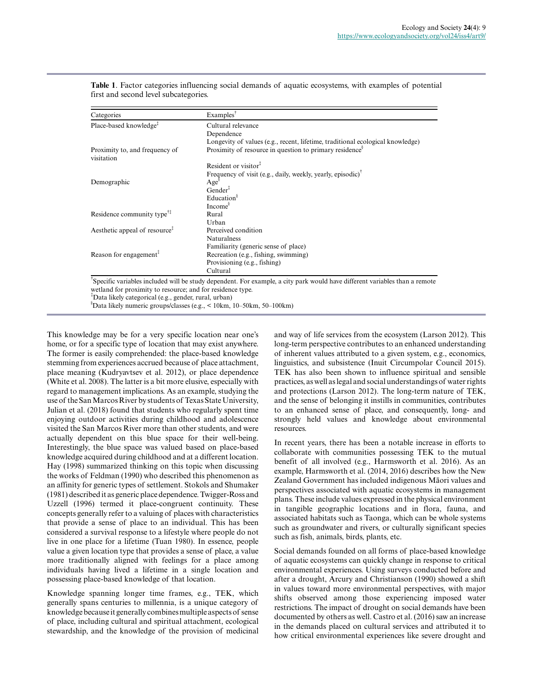| Categories                                                                                                                      | Examples <sup>T</sup>                                                                                                      |
|---------------------------------------------------------------------------------------------------------------------------------|----------------------------------------------------------------------------------------------------------------------------|
| Place-based knowledge <sup>3</sup>                                                                                              | Cultural relevance                                                                                                         |
|                                                                                                                                 | Dependence                                                                                                                 |
|                                                                                                                                 | Longevity of values (e.g., recent, lifetime, traditional ecological knowledge)                                             |
| Proximity to, and frequency of<br>visitation                                                                                    | Proximity of resource in question to primary residence <sup>§</sup>                                                        |
|                                                                                                                                 | Resident or visitor <sup>†</sup>                                                                                           |
|                                                                                                                                 | Frequency of visit (e.g., daily, weekly, yearly, episodic) <sup><math>\bar{ }</math></sup>                                 |
| Demographic                                                                                                                     | Age <sup>§</sup>                                                                                                           |
|                                                                                                                                 | $Gender^*$                                                                                                                 |
|                                                                                                                                 | Education <sup>§</sup>                                                                                                     |
|                                                                                                                                 | Income $\delta$                                                                                                            |
| Residence community type <sup><math>\uparrow\uparrow</math></sup>                                                               | Rural                                                                                                                      |
|                                                                                                                                 | Urban                                                                                                                      |
| Aesthetic appeal of resource <sup><math>\ddagger</math></sup>                                                                   | Perceived condition                                                                                                        |
|                                                                                                                                 | <b>Naturalness</b>                                                                                                         |
|                                                                                                                                 | Familiarity (generic sense of place)                                                                                       |
| Reason for engagement <sup><math>\ddagger</math></sup>                                                                          | Recreation (e.g., fishing, swimming)                                                                                       |
|                                                                                                                                 | Provisioning (e.g., fishing)                                                                                               |
|                                                                                                                                 | Cultural                                                                                                                   |
| wetland for proximity to resource; and for residence type.<br><sup>‡</sup> Data likely categorical (e.g., gender, rural, urban) | Specific variables included will be study dependent. For example, a city park would have different variables than a remote |

**Table 1**. Factor categories influencing social demands of aquatic ecosystems, with examples of potential first and second level subcategories.

 $\delta$ Data likely numeric groups/classes (e.g., < 10km, 10–50km, 50–100km)

This knowledge may be for a very specific location near one's home, or for a specific type of location that may exist anywhere. The former is easily comprehended: the place-based knowledge stemming from experiences accrued because of place attachment, place meaning (Kudryavtsev et al. 2012), or place dependence (White et al. 2008). The latter is a bit more elusive, especially with regard to management implications. As an example, studying the use of the San Marcos River by students of Texas State University, Julian et al. (2018) found that students who regularly spent time enjoying outdoor activities during childhood and adolescence visited the San Marcos River more than other students, and were actually dependent on this blue space for their well-being. Interestingly, the blue space was valued based on place-based knowledge acquired during childhood and at a different location. Hay (1998) summarized thinking on this topic when discussing the works of Feldman (1990) who described this phenomenon as an affinity for generic types of settlement. Stokols and Shumaker (1981) described it as generic place dependence. Twigger-Ross and Uzzell (1996) termed it place-congruent continuity. These concepts generally refer to a valuing of places with characteristics that provide a sense of place to an individual. This has been considered a survival response to a lifestyle where people do not live in one place for a lifetime (Tuan 1980). In essence, people value a given location type that provides a sense of place, a value more traditionally aligned with feelings for a place among individuals having lived a lifetime in a single location and possessing place-based knowledge of that location.

Knowledge spanning longer time frames, e.g., TEK, which generally spans centuries to millennia, is a unique category of knowledge because it generally combines multiple aspects of sense of place, including cultural and spiritual attachment, ecological stewardship, and the knowledge of the provision of medicinal and way of life services from the ecosystem (Larson 2012). This long-term perspective contributes to an enhanced understanding of inherent values attributed to a given system, e.g., economics, linguistics, and subsistence (Inuit Circumpolar Council 2015). TEK has also been shown to influence spiritual and sensible practices, as well as legal and social understandings of water rights and protections (Larson 2012). The long-term nature of TEK, and the sense of belonging it instills in communities, contributes to an enhanced sense of place, and consequently, long- and strongly held values and knowledge about environmental resources.

In recent years, there has been a notable increase in efforts to collaborate with communities possessing TEK to the mutual benefit of all involved (e.g., Harmsworth et al. 2016). As an example, Harmsworth et al. (2014, 2016) describes how the New Zealand Government has included indigenous Māori values and perspectives associated with aquatic ecosystems in management plans. These include values expressed in the physical environment in tangible geographic locations and in flora, fauna, and associated habitats such as Taonga, which can be whole systems such as groundwater and rivers, or culturally significant species such as fish, animals, birds, plants, etc.

Social demands founded on all forms of place-based knowledge of aquatic ecosystems can quickly change in response to critical environmental experiences. Using surveys conducted before and after a drought, Arcury and Christianson (1990) showed a shift in values toward more environmental perspectives, with major shifts observed among those experiencing imposed water restrictions. The impact of drought on social demands have been documented by others as well. Castro et al. (2016) saw an increase in the demands placed on cultural services and attributed it to how critical environmental experiences like severe drought and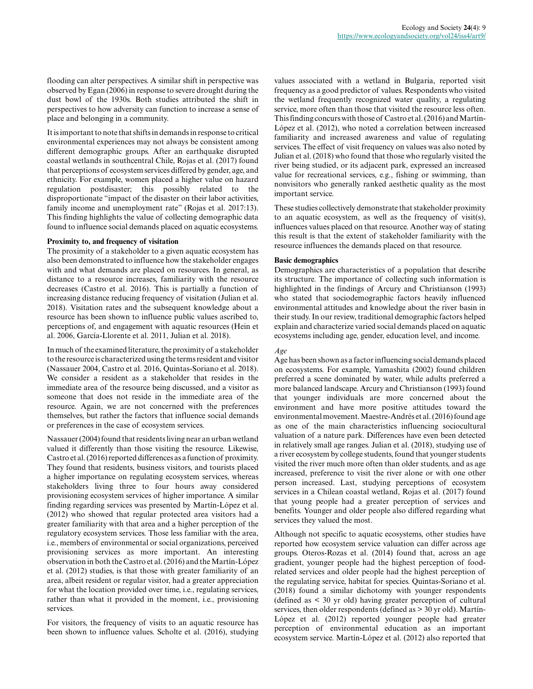flooding can alter perspectives. A similar shift in perspective was observed by Egan (2006) in response to severe drought during the dust bowl of the 1930s. Both studies attributed the shift in perspectives to how adversity can function to increase a sense of place and belonging in a community.

It is important to note that shifts in demands in response to critical environmental experiences may not always be consistent among different demographic groups. After an earthquake disrupted coastal wetlands in southcentral Chile, Rojas et al. (2017) found that perceptions of ecosystem services differed by gender, age, and ethnicity. For example, women placed a higher value on hazard regulation postdisaster; this possibly related to the disproportionate "impact of the disaster on their labor activities, family income and unemployment rate" (Rojas et al. 2017:13). This finding highlights the value of collecting demographic data found to influence social demands placed on aquatic ecosystems.

# **Proximity to, and frequency of visitation**

The proximity of a stakeholder to a given aquatic ecosystem has also been demonstrated to influence how the stakeholder engages with and what demands are placed on resources. In general, as distance to a resource increases, familiarity with the resource decreases (Castro et al. 2016). This is partially a function of increasing distance reducing frequency of visitation (Julian et al. 2018). Visitation rates and the subsequent knowledge about a resource has been shown to influence public values ascribed to, perceptions of, and engagement with aquatic resources (Hein et al. 2006, García-Llorente et al. 2011, Julian et al. 2018).

In much of the examined literature, the proximity of a stakeholder to the resource is characterized using the terms resident and visitor (Nassauer 2004, Castro et al. 2016, Quintas-Soriano et al. 2018). We consider a resident as a stakeholder that resides in the immediate area of the resource being discussed, and a visitor as someone that does not reside in the immediate area of the resource. Again, we are not concerned with the preferences themselves, but rather the factors that influence social demands or preferences in the case of ecosystem services.

Nassauer (2004) found that residents living near an urban wetland valued it differently than those visiting the resource. Likewise, Castro et al. (2016) reported differences as a function of proximity. They found that residents, business visitors, and tourists placed a higher importance on regulating ecosystem services, whereas stakeholders living three to four hours away considered provisioning ecosystem services of higher importance. A similar finding regarding services was presented by Martín-López et al. (2012) who showed that regular protected area visitors had a greater familiarity with that area and a higher perception of the regulatory ecosystem services. Those less familiar with the area, i.e., members of environmental or social organizations, perceived provisioning services as more important. An interesting observation in both the Castro et al. (2016) and the Martín-López et al. (2012) studies, is that those with greater familiarity of an area, albeit resident or regular visitor, had a greater appreciation for what the location provided over time, i.e., regulating services, rather than what it provided in the moment, i.e., provisioning services.

For visitors, the frequency of visits to an aquatic resource has been shown to influence values. Scholte et al. (2016), studying values associated with a wetland in Bulgaria, reported visit frequency as a good predictor of values. Respondents who visited the wetland frequently recognized water quality, a regulating service, more often than those that visited the resource less often. This finding concurs with those of Castro et al. (2016) and Martín-López et al. (2012), who noted a correlation between increased familiarity and increased awareness and value of regulating services. The effect of visit frequency on values was also noted by Julian et al. (2018) who found that those who regularly visited the river being studied, or its adjacent park, expressed an increased value for recreational services, e.g., fishing or swimming, than nonvisitors who generally ranked aesthetic quality as the most important service.

These studies collectively demonstrate that stakeholder proximity to an aquatic ecosystem, as well as the frequency of visit(s), influences values placed on that resource. Another way of stating this result is that the extent of stakeholder familiarity with the resource influences the demands placed on that resource.

# **Basic demographics**

Demographics are characteristics of a population that describe its structure. The importance of collecting such information is highlighted in the findings of Arcury and Christianson (1993) who stated that sociodemographic factors heavily influenced environmental attitudes and knowledge about the river basin in their study. In our review, traditional demographic factors helped explain and characterize varied social demands placed on aquatic ecosystems including age, gender, education level, and income.

#### *Age*

Age has been shown as a factor influencing social demands placed on ecosystems. For example, Yamashita (2002) found children preferred a scene dominated by water, while adults preferred a more balanced landscape. Arcury and Christianson (1993) found that younger individuals are more concerned about the environment and have more positive attitudes toward the environmental movement. Maestre-Andrés et al. (2016) found age as one of the main characteristics influencing sociocultural valuation of a nature park. Differences have even been detected in relatively small age ranges. Julian et al. (2018), studying use of a river ecosystem by college students, found that younger students visited the river much more often than older students, and as age increased, preference to visit the river alone or with one other person increased. Last, studying perceptions of ecosystem services in a Chilean coastal wetland, Rojas et al. (2017) found that young people had a greater perception of services and benefits. Younger and older people also differed regarding what services they valued the most.

Although not specific to aquatic ecosystems, other studies have reported how ecosystem service valuation can differ across age groups. Oteros-Rozas et al. (2014) found that, across an age gradient, younger people had the highest perception of foodrelated services and older people had the highest perception of the regulating service, habitat for species. Quintas-Soriano et al. (2018) found a similar dichotomy with younger respondents (defined as < 30 yr old) having greater perception of cultural services, then older respondents (defined as > 30 yr old). Martín-López et al. (2012) reported younger people had greater perception of environmental education as an important ecosystem service. Martín-López et al. (2012) also reported that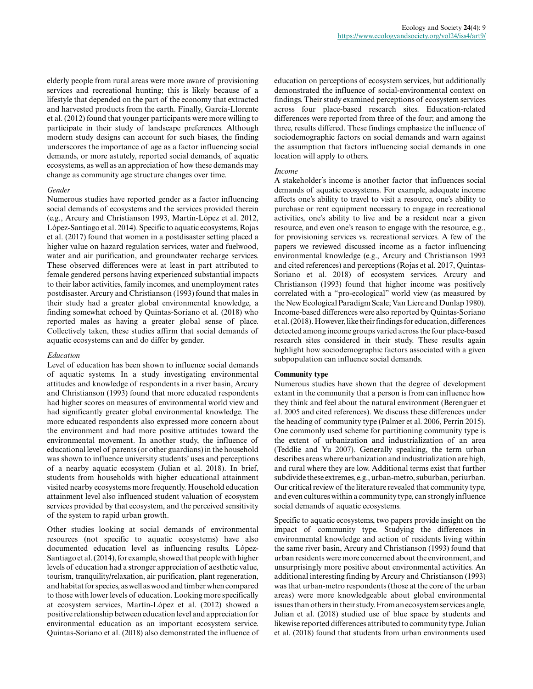elderly people from rural areas were more aware of provisioning services and recreational hunting; this is likely because of a lifestyle that depended on the part of the economy that extracted and harvested products from the earth. Finally, García-Llorente et al. (2012) found that younger participants were more willing to participate in their study of landscape preferences. Although modern study designs can account for such biases, the finding underscores the importance of age as a factor influencing social demands, or more astutely, reported social demands, of aquatic ecosystems, as well as an appreciation of how these demands may change as community age structure changes over time.

#### *Gender*

Numerous studies have reported gender as a factor influencing social demands of ecosystems and the services provided therein (e.g., Arcury and Christianson 1993, Martín-López et al. 2012, López-Santiago et al. 2014). Specific to aquatic ecosystems, Rojas et al. (2017) found that women in a postdisaster setting placed a higher value on hazard regulation services, water and fuelwood, water and air purification, and groundwater recharge services. These observed differences were at least in part attributed to female gendered persons having experienced substantial impacts to their labor activities, family incomes, and unemployment rates postdisaster. Arcury and Christianson (1993) found that males in their study had a greater global environmental knowledge, a finding somewhat echoed by Quintas-Soriano et al. (2018) who reported males as having a greater global sense of place. Collectively taken, these studies affirm that social demands of aquatic ecosystems can and do differ by gender.

#### *Education*

Level of education has been shown to influence social demands of aquatic systems. In a study investigating environmental attitudes and knowledge of respondents in a river basin, Arcury and Christianson (1993) found that more educated respondents had higher scores on measures of environmental world view and had significantly greater global environmental knowledge. The more educated respondents also expressed more concern about the environment and had more positive attitudes toward the environmental movement. In another study, the influence of educational level of parents (or other guardians) in the household was shown to influence university students' uses and perceptions of a nearby aquatic ecosystem (Julian et al. 2018). In brief, students from households with higher educational attainment visited nearby ecosystems more frequently. Household education attainment level also influenced student valuation of ecosystem services provided by that ecosystem, and the perceived sensitivity of the system to rapid urban growth.

Other studies looking at social demands of environmental resources (not specific to aquatic ecosystems) have also documented education level as influencing results. López-Santiago et al. (2014), for example, showed that people with higher levels of education had a stronger appreciation of aesthetic value, tourism, tranquility/relaxation, air purification, plant regeneration, and habitat for species, as well as wood and timber when compared to those with lower levels of education. Looking more specifically at ecosystem services, Martín-López et al. (2012) showed a positive relationship between education level and appreciation for environmental education as an important ecosystem service. Quintas-Soriano et al. (2018) also demonstrated the influence of education on perceptions of ecosystem services, but additionally demonstrated the influence of social-environmental context on findings. Their study examined perceptions of ecosystem services across four place-based research sites. Education-related differences were reported from three of the four; and among the three, results differed. These findings emphasize the influence of sociodemographic factors on social demands and warn against the assumption that factors influencing social demands in one location will apply to others.

#### *Income*

A stakeholder's income is another factor that influences social demands of aquatic ecosystems. For example, adequate income affects one's ability to travel to visit a resource, one's ability to purchase or rent equipment necessary to engage in recreational activities, one's ability to live and be a resident near a given resource, and even one's reason to engage with the resource, e.g., for provisioning services vs. recreational services. A few of the papers we reviewed discussed income as a factor influencing environmental knowledge (e.g., Arcury and Christianson 1993 and cited references) and perceptions (Rojas et al. 2017, Quintas-Soriano et al. 2018) of ecosystem services. Arcury and Christianson (1993) found that higher income was positively correlated with a "pro-ecological" world view (as measured by the New Ecological Paradigm Scale; Van Liere and Dunlap 1980). Income-based differences were also reported by Quintas-Soriano et al. (2018). However, like their findings for education, differences detected among income groups varied across the four place-based research sites considered in their study. These results again highlight how sociodemographic factors associated with a given subpopulation can influence social demands.

# **Community type**

Numerous studies have shown that the degree of development extant in the community that a person is from can influence how they think and feel about the natural environment (Berenguer et al. 2005 and cited references). We discuss these differences under the heading of community type (Palmer et al. 2006, Perrin 2015). One commonly used scheme for partitioning community type is the extent of urbanization and industrialization of an area (Teddlie and Yu 2007). Generally speaking, the term urban describes areas where urbanization and industrialization are high, and rural where they are low. Additional terms exist that further subdivide these extremes, e.g., urban-metro, suburban, periurban. Our critical review of the literature revealed that community type, and even cultures within a community type, can strongly influence social demands of aquatic ecosystems.

Specific to aquatic ecosystems, two papers provide insight on the impact of community type. Studying the differences in environmental knowledge and action of residents living within the same river basin, Arcury and Christianson (1993) found that urban residents were more concerned about the environment, and unsurprisingly more positive about environmental activities. An additional interesting finding by Arcury and Christianson (1993) was that urban-metro respondents (those at the core of the urban areas) were more knowledgeable about global environmental issues than others in their study. From an ecosystem services angle, Julian et al. (2018) studied use of blue space by students and likewise reported differences attributed to community type. Julian et al. (2018) found that students from urban environments used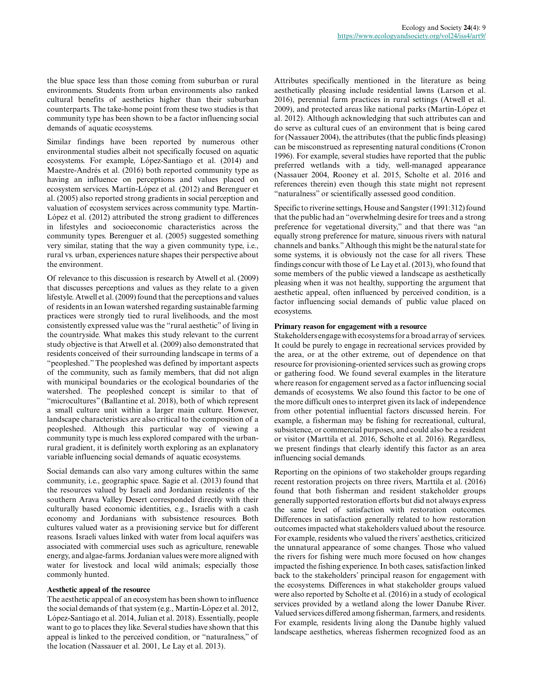the blue space less than those coming from suburban or rural environments. Students from urban environments also ranked cultural benefits of aesthetics higher than their suburban counterparts. The take-home point from these two studies is that community type has been shown to be a factor influencing social demands of aquatic ecosystems.

Similar findings have been reported by numerous other environmental studies albeit not specifically focused on aquatic ecosystems. For example, López-Santiago et al. (2014) and Maestre-Andrés et al. (2016) both reported community type as having an influence on perceptions and values placed on ecosystem services. Martín-López et al. (2012) and Berenguer et al. (2005) also reported strong gradients in social perception and valuation of ecosystem services across community type. Martín-López et al. (2012) attributed the strong gradient to differences in lifestyles and socioeconomic characteristics across the community types. Berenguer et al. (2005) suggested something very similar, stating that the way a given community type, i.e., rural vs. urban, experiences nature shapes their perspective about the environment.

Of relevance to this discussion is research by Atwell et al. (2009) that discusses perceptions and values as they relate to a given lifestyle. Atwell et al. (2009) found that the perceptions and values of residents in an Iowan watershed regarding sustainable farming practices were strongly tied to rural livelihoods, and the most consistently expressed value was the "rural aesthetic" of living in the countryside. What makes this study relevant to the current study objective is that Atwell et al. (2009) also demonstrated that residents conceived of their surrounding landscape in terms of a "peopleshed." The peopleshed was defined by important aspects of the community, such as family members, that did not align with municipal boundaries or the ecological boundaries of the watershed. The peopleshed concept is similar to that of "microcultures" (Ballantine et al. 2018), both of which represent a small culture unit within a larger main culture. However, landscape characteristics are also critical to the composition of a peopleshed. Although this particular way of viewing a community type is much less explored compared with the urbanrural gradient, it is definitely worth exploring as an explanatory variable influencing social demands of aquatic ecosystems.

Social demands can also vary among cultures within the same community, i.e., geographic space. Sagie et al. (2013) found that the resources valued by Israeli and Jordanian residents of the southern Arava Valley Desert corresponded directly with their culturally based economic identities, e.g., Israelis with a cash economy and Jordanians with subsistence resources. Both cultures valued water as a provisioning service but for different reasons. Israeli values linked with water from local aquifers was associated with commercial uses such as agriculture, renewable energy, and algae-farms. Jordanian values were more aligned with water for livestock and local wild animals; especially those commonly hunted.

#### **Aesthetic appeal of the resource**

The aesthetic appeal of an ecosystem has been shown to influence the social demands of that system (e.g., Martín-López et al. 2012, López-Santiago et al. 2014, Julian et al. 2018). Essentially, people want to go to places they like. Several studies have shown that this appeal is linked to the perceived condition, or "naturalness," of the location (Nassauer et al. 2001, Le Lay et al. 2013).

Attributes specifically mentioned in the literature as being aesthetically pleasing include residential lawns (Larson et al. 2016), perennial farm practices in rural settings (Atwell et al. 2009), and protected areas like national parks (Martín-López et al. 2012). Although acknowledging that such attributes can and do serve as cultural cues of an environment that is being cared for (Nassauer 2004), the attributes (that the public finds pleasing) can be misconstrued as representing natural conditions (Cronon 1996). For example, several studies have reported that the public preferred wetlands with a tidy, well-managed appearance (Nassauer 2004, Rooney et al. 2015, Scholte et al. 2016 and references therein) even though this state might not represent "naturalness" or scientifically assessed good condition.

Specific to riverine settings, House and Sangster (1991:312) found that the public had an "overwhelming desire for trees and a strong preference for vegetational diversity," and that there was "an equally strong preference for mature, sinuous rivers with natural channels and banks." Although this might be the natural state for some systems, it is obviously not the case for all rivers. These findings concur with those of Le Lay et al. (2013), who found that some members of the public viewed a landscape as aesthetically pleasing when it was not healthy, supporting the argument that aesthetic appeal, often influenced by perceived condition, is a factor influencing social demands of public value placed on ecosystems.

#### **Primary reason for engagement with a resource**

Stakeholders engage with ecosystems for a broad array of services. It could be purely to engage in recreational services provided by the area, or at the other extreme, out of dependence on that resource for provisioning-oriented services such as growing crops or gathering food. We found several examples in the literature where reason for engagement served as a factor influencing social demands of ecosystems. We also found this factor to be one of the more difficult ones to interpret given its lack of independence from other potential influential factors discussed herein. For example, a fisherman may be fishing for recreational, cultural, subsistence, or commercial purposes, and could also be a resident or visitor (Marttila et al. 2016, Scholte et al. 2016). Regardless, we present findings that clearly identify this factor as an area influencing social demands.

Reporting on the opinions of two stakeholder groups regarding recent restoration projects on three rivers, Marttila et al. (2016) found that both fisherman and resident stakeholder groups generally supported restoration efforts but did not always express the same level of satisfaction with restoration outcomes. Differences in satisfaction generally related to how restoration outcomes impacted what stakeholders valued about the resource. For example, residents who valued the rivers' aesthetics, criticized the unnatural appearance of some changes. Those who valued the rivers for fishing were much more focused on how changes impacted the fishing experience. In both cases, satisfaction linked back to the stakeholders' principal reason for engagement with the ecosystems. Differences in what stakeholder groups valued were also reported by Scholte et al. (2016) in a study of ecological services provided by a wetland along the lower Danube River. Valued services differed among fisherman, farmers, and residents. For example, residents living along the Danube highly valued landscape aesthetics, whereas fishermen recognized food as an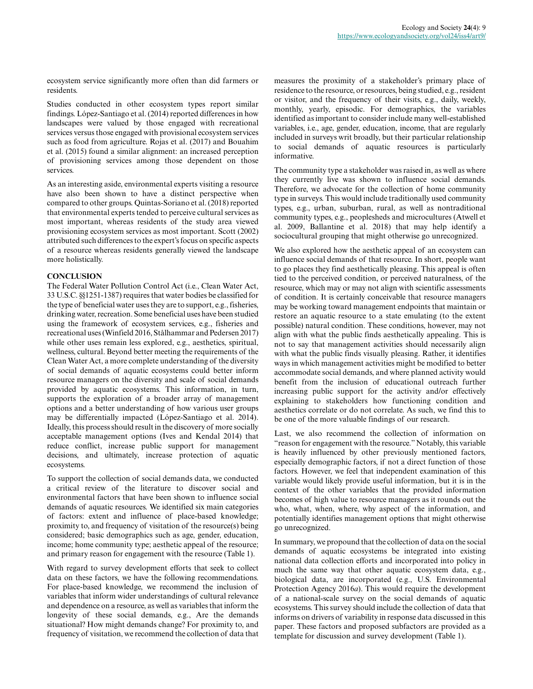ecosystem service significantly more often than did farmers or residents.

Studies conducted in other ecosystem types report similar findings. López-Santiago et al. (2014) reported differences in how landscapes were valued by those engaged with recreational services versus those engaged with provisional ecosystem services such as food from agriculture. Rojas et al. (2017) and Bouahim et al. (2015) found a similar alignment: an increased perception of provisioning services among those dependent on those services.

As an interesting aside, environmental experts visiting a resource have also been shown to have a distinct perspective when compared to other groups. Quintas-Soriano et al. (2018) reported that environmental experts tended to perceive cultural services as most important, whereas residents of the study area viewed provisioning ecosystem services as most important. Scott (2002) attributed such differences to the expert's focus on specific aspects of a resource whereas residents generally viewed the landscape more holistically.

# **CONCLUSION**

The Federal Water Pollution Control Act (i.e., Clean Water Act, 33 U.S.C. §§1251-1387) requires that water bodies be classified for the type of beneficial water uses they are to support, e.g., fisheries, drinking water, recreation. Some beneficial uses have been studied using the framework of ecosystem services, e.g., fisheries and recreational uses (Winfield 2016, Stålhammar and Pedersen 2017) while other uses remain less explored, e.g., aesthetics, spiritual, wellness, cultural. Beyond better meeting the requirements of the Clean Water Act, a more complete understanding of the diversity of social demands of aquatic ecosystems could better inform resource managers on the diversity and scale of social demands provided by aquatic ecosystems. This information, in turn, supports the exploration of a broader array of management options and a better understanding of how various user groups may be differentially impacted (López-Santiago et al. 2014). Ideally, this process should result in the discovery of more socially acceptable management options (Ives and Kendal 2014) that reduce conflict, increase public support for management decisions, and ultimately, increase protection of aquatic ecosystems.

To support the collection of social demands data, we conducted a critical review of the literature to discover social and environmental factors that have been shown to influence social demands of aquatic resources. We identified six main categories of factors: extent and influence of place-based knowledge; proximity to, and frequency of visitation of the resource(s) being considered; basic demographics such as age, gender, education, income; home community type; aesthetic appeal of the resource; and primary reason for engagement with the resource (Table 1).

With regard to survey development efforts that seek to collect data on these factors, we have the following recommendations. For place-based knowledge, we recommend the inclusion of variables that inform wider understandings of cultural relevance and dependence on a resource, as well as variables that inform the longevity of these social demands, e.g., Are the demands situational? How might demands change? For proximity to, and frequency of visitation, we recommend the collection of data that measures the proximity of a stakeholder's primary place of residence to the resource, or resources, being studied, e.g., resident or visitor, and the frequency of their visits, e.g., daily, weekly, monthly, yearly, episodic. For demographics, the variables identified as important to consider include many well-established variables, i.e., age, gender, education, income, that are regularly included in surveys writ broadly, but their particular relationship to social demands of aquatic resources is particularly informative.

The community type a stakeholder was raised in, as well as where they currently live was shown to influence social demands. Therefore, we advocate for the collection of home community type in surveys. This would include traditionally used community types, e.g., urban, suburban, rural, as well as nontraditional community types, e.g., peoplesheds and microcultures (Atwell et al. 2009, Ballantine et al. 2018) that may help identify a sociocultural grouping that might otherwise go unrecognized.

We also explored how the aesthetic appeal of an ecosystem can influence social demands of that resource. In short, people want to go places they find aesthetically pleasing. This appeal is often tied to the perceived condition, or perceived naturalness, of the resource, which may or may not align with scientific assessments of condition. It is certainly conceivable that resource managers may be working toward management endpoints that maintain or restore an aquatic resource to a state emulating (to the extent possible) natural condition. These conditions, however, may not align with what the public finds aesthetically appealing. This is not to say that management activities should necessarily align with what the public finds visually pleasing. Rather, it identifies ways in which management activities might be modified to better accommodate social demands, and where planned activity would benefit from the inclusion of educational outreach further increasing public support for the activity and/or effectively explaining to stakeholders how functioning condition and aesthetics correlate or do not correlate. As such, we find this to be one of the more valuable findings of our research.

Last, we also recommend the collection of information on "reason for engagement with the resource." Notably, this variable is heavily influenced by other previously mentioned factors, especially demographic factors, if not a direct function of those factors. However, we feel that independent examination of this variable would likely provide useful information, but it is in the context of the other variables that the provided information becomes of high value to resource managers as it rounds out the who, what, when, where, why aspect of the information, and potentially identifies management options that might otherwise go unrecognized.

In summary, we propound that the collection of data on the social demands of aquatic ecosystems be integrated into existing national data collection efforts and incorporated into policy in much the same way that other aquatic ecosystem data, e.g., biological data, are incorporated (e.g., U.S. Environmental Protection Agency 2016*a*). This would require the development of a national-scale survey on the social demands of aquatic ecosystems. This survey should include the collection of data that informs on drivers of variability in response data discussed in this paper. These factors and proposed subfactors are provided as a template for discussion and survey development (Table 1).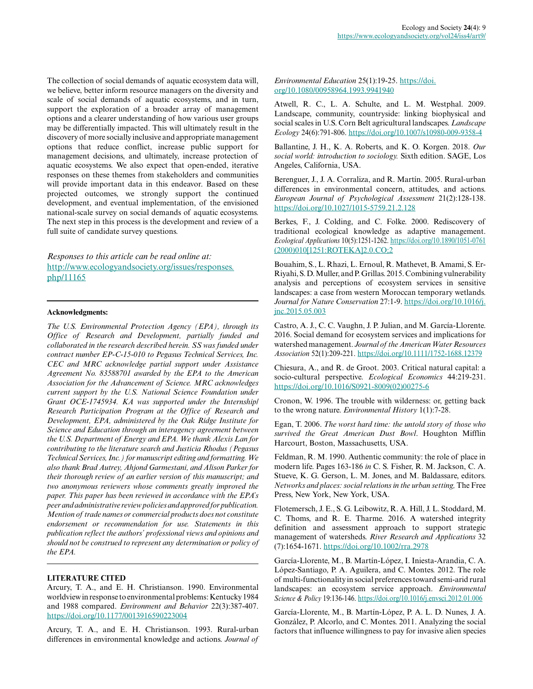The collection of social demands of aquatic ecosystem data will, we believe, better inform resource managers on the diversity and scale of social demands of aquatic ecosystems, and in turn, support the exploration of a broader array of management options and a clearer understanding of how various user groups may be differentially impacted. This will ultimately result in the discovery of more socially inclusive and appropriate management options that reduce conflict, increase public support for management decisions, and ultimately, increase protection of aquatic ecosystems. We also expect that open-ended, iterative responses on these themes from stakeholders and communities will provide important data in this endeavor. Based on these projected outcomes, we strongly support the continued development, and eventual implementation, of the envisioned national-scale survey on social demands of aquatic ecosystems. The next step in this process is the development and review of a full suite of candidate survey questions.

*Responses to this article can be read online at:* [http://www.ecologyandsociety.org/issues/responses.](http://www.ecologyandsociety.org/issues/responses.php/11165) [php/11165](http://www.ecologyandsociety.org/issues/responses.php/11165)

# **Acknowledgments:**

*The U.S. Environmental Protection Agency (EPA), through its Office of Research and Development, partially funded and collaborated in the research described herein. SS was funded under contract number EP-C-15-010 to Pegasus Technical Services, Inc. CEC and MRC acknowledge partial support under Assistance Agreement No. 83588701 awarded by the EPA to the American Association for the Advancement of Science. MRC acknowledges current support by the U.S. National Science Foundation under Grant OCE-1745934. KA was supported under the Internship/ Research Participation Program at the Office of Research and Development, EPA, administered by the Oak Ridge Institute for Science and Education through an interagency agreement between the U.S. Department of Energy and EPA. We thank Alexis Lan for contributing to the literature search and Justicia Rhodus (Pegasus Technical Services, Inc.) for manuscript editing and formatting. We also thank Brad Autrey, Ahjond Garmestani, and Alison Parker for their thorough review of an earlier version of this manuscript; and two anonymous reviewers whose comments greatly improved the paper. This paper has been reviewed in accordance with the EPA's peer and administrative review policies and approved for publication. Mention of trade names or commercial products does not constitute endorsement or recommendation for use. Statements in this publication reflect the authors' professional views and opinions and should not be construed to represent any determination or policy of the EPA.*

# **LITERATURE CITED**

Arcury, T. A., and E. H. Christianson. 1990. Environmental worldview in response to environmental problems: Kentucky 1984 and 1988 compared. *Environment and Behavior* 22(3):387-407. <https://doi.org/10.1177/0013916590223004>

Arcury, T. A., and E. H. Christianson. 1993. Rural-urban differences in environmental knowledge and actions. *Journal of*

#### *Environmental Education* 25(1):19-25. [https://doi.](https://doi.org/10.1080/00958964.1993.9941940) [org/10.1080/00958964.1993.9941940](https://doi.org/10.1080/00958964.1993.9941940)

Atwell, R. C., L. A. Schulte, and L. M. Westphal. 2009. Landscape, community, countryside: linking biophysical and social scales in U.S. Corn Belt agricultural landscapes. *Landscape Ecology* 24(6):791-806.<https://doi.org/10.1007/s10980-009-9358-4>

Ballantine, J. H., K. A. Roberts, and K. O. Korgen. 2018. *Our social world: introduction to sociology.* Sixth edition. SAGE, Los Angeles, California, USA.

Berenguer, J., J. A. Corraliza, and R. Martín. 2005. Rural-urban differences in environmental concern, attitudes, and actions. *European Journal of Psychological Assessment* 21(2):128-138. <https://doi.org/10.1027/1015-5759.21.2.128>

Berkes, F., J. Colding, and C. Folke. 2000. Rediscovery of traditional ecological knowledge as adaptive management. *Ecological Applications* 10(5):1251-1262. [https://doi.org/10.1890/1051-0761](https://doi.org/10.1890/1051-0761(2000)010[1251:ROTEKA]2.0.CO;2) [\(2000\)010\[1251:ROTEKA\]2.0.CO;2](https://doi.org/10.1890/1051-0761(2000)010[1251:ROTEKA]2.0.CO;2)

Bouahim, S., L. Rhazi, L. Ernoul, R. Mathevet, B. Amami, S. Er-Riyahi, S. D. Muller, and P. Grillas. 2015. Combining vulnerability analysis and perceptions of ecosystem services in sensitive landscapes: a case from western Moroccan temporary wetlands. *Journal for Nature Conservation* 27:1-9. [https://doi.org/10.1016/j.](https://doi.org/10.1016/j.jnc.2015.05.003) [jnc.2015.05.003](https://doi.org/10.1016/j.jnc.2015.05.003)

Castro, A. J., C. C. Vaughn, J. P. Julian, and M. García‐Llorente. 2016. Social demand for ecosystem services and implications for watershed management. *Journal of the American Water Resources Association* 52(1):209-221. <https://doi.org/10.1111/1752-1688.12379>

Chiesura, A., and R. de Groot. 2003. Critical natural capital: a socio-cultural perspective. *Ecological Economics* 44:219-231. [https://doi.org/10.1016/S0921-8009\(02\)00275-6](https://doi.org/10.1016/S0921-8009(02)00275-6) 

Cronon, W. 1996. The trouble with wilderness: or, getting back to the wrong nature. *Environmental History* 1(1):7-28.

Egan, T. 2006. *The worst hard time: the untold story of those who survived the Great American Dust Bowl*. Houghton Mifflin Harcourt, Boston, Massachusetts, USA.

Feldman, R. M. 1990. Authentic community: the role of place in modern life. Pages 163-186 *in* C. S. Fisher, R. M. Jackson, C. A. Stueve, K. G. Gerson, L. M. Jones, and M. Baldassare, editors. *Networks and places: social relations in the urban setting,* The Free Press, New York, New York, USA.

Flotemersch, J. E., S. G. Leibowitz, R. A. Hill, J. L. Stoddard, M. C. Thoms, and R. E. Tharme. 2016. A watershed integrity definition and assessment approach to support strategic management of watersheds. *River Research and Applications* 32 (7):1654-1671. <https://doi.org/10.1002/rra.2978>

García-Llorente, M., B. Martín-López, I. Iniesta-Arandia, C. A. López-Santiago, P. A. Aguilera, and C. Montes. 2012. The role of multi-functionality in social preferences toward semi-arid rural landscapes: an ecosystem service approach. *Environmental Science & Policy* 19:136-146.<https://doi.org/10.1016/j.envsci.2012.01.006>

García-Llorente, M., B. Martín-López, P. A. L. D. Nunes, J. A. González, P. Alcorlo, and C. Montes. 2011. Analyzing the social factors that influence willingness to pay for invasive alien species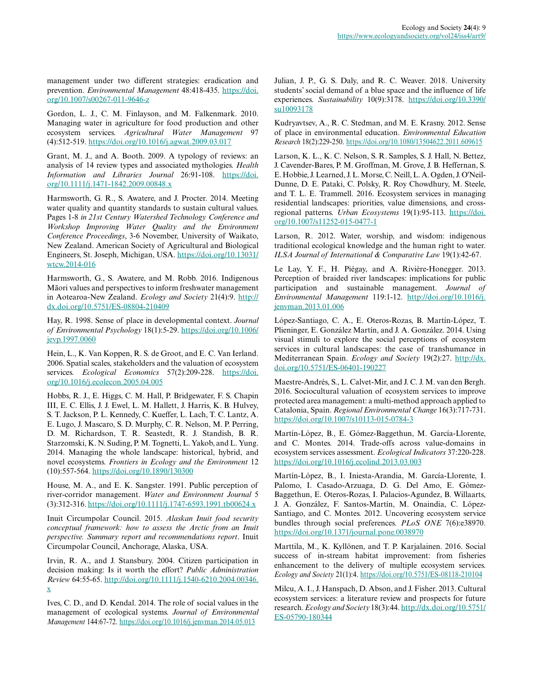management under two different strategies: eradication and prevention. *Environmental Management* 48:418-435. [https://doi.](https://doi.org/10.1007/s00267-011-9646-z) [org/10.1007/s00267-011-9646-z](https://doi.org/10.1007/s00267-011-9646-z) 

Gordon, L. J., C. M. Finlayson, and M. Falkenmark. 2010. Managing water in agriculture for food production and other ecosystem services. *Agricultural Water Management* 97 (4):512-519. <https://doi.org/10.1016/j.agwat.2009.03.017>

Grant, M. J., and A. Booth. 2009. A typology of reviews: an analysis of 14 review types and associated mythologies. *Health Information and Libraries Journal* 26:91-108. [https://doi.](https://doi.org/10.1111/j.1471-1842.2009.00848.x) [org/10.1111/j.1471-1842.2009.00848.x](https://doi.org/10.1111/j.1471-1842.2009.00848.x)

Harmsworth, G. R., S. Awatere, and J. Procter. 2014. Meeting water quality and quantity standards to sustain cultural values. Pages 1-8 *in 21st Century Watershed Technology Conference and Workshop Improving Water Quality and the Environment Conference Proceedings*, 3-6 November, University of Waikato, New Zealand. American Society of Agricultural and Biological Engineers, St. Joseph, Michigan, USA. [https://doi.org/10.13031/](https://doi.org/10.13031/wtcw.2014-016) [wtcw.2014-016](https://doi.org/10.13031/wtcw.2014-016) 

Harmsworth, G., S. Awatere, and M. Robb. 2016. Indigenous Māori values and perspectives to inform freshwater management in Aotearoa-New Zealand. *Ecology and Society* 21(4):9. [http://](http://dx.doi.org/10.5751/ES-08804-210409) [dx.doi.org/10.5751/ES-08804-210409](http://dx.doi.org/10.5751/ES-08804-210409)

Hay, R. 1998. Sense of place in developmental context. *Journal of Environmental Psychology* 18(1):5-29. [https://doi.org/10.1006/](https://doi.org/10.1006/jevp.1997.0060) [jevp.1997.0060](https://doi.org/10.1006/jevp.1997.0060)

Hein, L., K. Van Koppen, R. S. de Groot, and E. C. Van Ierland. 2006. Spatial scales, stakeholders and the valuation of ecosystem services. *Ecological Economics* 57(2):209-228. [https://doi.](https://doi.org/10.1016/j.ecolecon.2005.04.005) [org/10.1016/j.ecolecon.2005.04.005](https://doi.org/10.1016/j.ecolecon.2005.04.005) 

Hobbs, R. J., E. Higgs, C. M. Hall, P. Bridgewater, F. S. Chapin III, E. C. Ellis, J. J. Ewel, L. M. Hallett, J. Harris, K. B. Hulvey, S. T. Jackson, P. L. Kennedy, C. Kueffer, L. Lach, T. C. Lantz, A. E. Lugo, J. Mascaro, S. D. Murphy, C. R. Nelson, M. P. Perring, D. M. Richardson, T. R. Seastedt, R. J. Standish, B. R. Starzomski, K. N. Suding, P. M. Tognetti, L. Yakob, and L. Yung. 2014. Managing the whole landscape: historical, hybrid, and novel ecosystems. *Frontiers in Ecology and the Environment* 12 (10):557-564.<https://doi.org/10.1890/130300>

House, M. A., and E. K. Sangster. 1991. Public perception of river-corridor management. *Water and Environment Journal* 5 (3):312-316.<https://doi.org/10.1111/j.1747-6593.1991.tb00624.x>

Inuit Circumpolar Council. 2015. *Alaskan Inuit food security conceptual framework: how to assess the Arctic from an Inuit perspective. Summary report and recommendations report*. Inuit Circumpolar Council, Anchorage, Alaska, USA.

Irvin, R. A., and J. Stansbury. 2004. Citizen participation in decision making: Is it worth the effort? *Public Administration Review* 64:55-65. [http://doi.org/10.1111/j.1540-6210.2004.00346.](http://doi.org/10.1111/j.1540-6210.2004.00346.x) [x](http://doi.org/10.1111/j.1540-6210.2004.00346.x)

Ives, C. D., and D. Kendal. 2014. The role of social values in the management of ecological systems. *Journal of Environmental Management* 144:67-72.<https://doi.org/10.1016/j.jenvman.2014.05.013>

Julian, J. P., G. S. Daly, and R. C. Weaver. 2018. University students' social demand of a blue space and the influence of life experiences. *Sustainability* 10(9):3178. [https://doi.org/10.3390/](https://doi.org/10.3390/su10093178) [su10093178](https://doi.org/10.3390/su10093178)

Kudryavtsev, A., R. C. Stedman, and M. E. Krasny. 2012. Sense of place in environmental education. *Environmental Education Research* 18(2):229-250. <https://doi.org/10.1080/13504622.2011.609615>

Larson, K. L., K. C. Nelson, S. R. Samples, S. J. Hall, N. Bettez, J. Cavender-Bares, P. M. Groffman, M. Grove, J. B. Heffernan, S. E. Hobbie, J. Learned, J. L. Morse, C. Neill, L. A. Ogden, J. O'Neil-Dunne, D. E. Pataki, C. Polsky, R. Roy Chowdhury, M. Steele, and T. L. E. Trammell. 2016. Ecosystem services in managing residential landscapes: priorities, value dimensions, and crossregional patterns. *Urban Ecosystems* 19(1):95-113. [https://doi.](https://doi.org/10.1007/s11252-015-0477-1) [org/10.1007/s11252-015-0477-1](https://doi.org/10.1007/s11252-015-0477-1)

Larson, R. 2012. Water, worship, and wisdom: indigenous traditional ecological knowledge and the human right to water. *ILSA Journal of International & Comparative Law* 19(1):42-67.

Le Lay, Y. F., H. Piégay, and A. Rivière-Honegger. 2013. Perception of braided river landscapes: implications for public participation and sustainable management. *Journal of Environmental Management* 119:1-12. [http://doi.org/10.1016/j.](http://doi.org/10.1016/j.jenvman.2013.01.006) [jenvman.2013.01.006](http://doi.org/10.1016/j.jenvman.2013.01.006)

López-Santiago, C. A., E. Oteros-Rozas, B. Martín-López, T. Plieninger, E. González Martín, and J. A. González. 2014. Using visual stimuli to explore the social perceptions of ecosystem services in cultural landscapes: the case of transhumance in Mediterranean Spain. *Ecology and Society* 19(2):27. [http://dx.](http://dx.doi.org/10.5751/ES-06401-190227) [doi.org/10.5751/ES-06401-190227](http://dx.doi.org/10.5751/ES-06401-190227)

Maestre-Andrés, S., L. Calvet-Mir, and J. C. J. M. van den Bergh. 2016. Sociocultural valuation of ecosystem services to improve protected area management: a multi-method approach applied to Catalonia, Spain. *Regional Environmental Change* 16(3):717-731. <https://doi.org/10.1007/s10113-015-0784-3>

Martín-López, B., E. Gómez-Baggethun, M. García-Llorente, and C. Montes. 2014. Trade-offs across value-domains in ecosystem services assessment. *Ecological Indicators* 37:220-228. <https://doi.org/10.1016/j.ecolind.2013.03.003>

Martín-López, B., I. Iniesta-Arandia, M. García-Llorente, I. Palomo, I. Casado-Arzuaga, D. G. Del Amo, E. Gómez-Baggethun, E. Oteros-Rozas, I. Palacios-Agundez, B. Willaarts, J. A. González, F. Santos-Martín, M. Onaindia, C. López-Santiago, and C. Montes. 2012. Uncovering ecosystem service bundles through social preferences. *PLoS ONE* 7(6):e38970. <https://doi.org/10.1371/journal.pone.0038970>

Marttila, M., K. Kyllönen, and T. P. Karjalainen. 2016. Social success of in-stream habitat improvement: from fisheries enhancement to the delivery of multiple ecosystem services. *Ecology and Society* 21(1):4. <https://doi.org/10.5751/ES-08118-210104>

Milcu, A. I., J. Hanspach, D. Abson, and J. Fisher. 2013. Cultural ecosystem services: a literature review and prospects for future research. *Ecology and Society* 18(3):44. [http://dx.doi.org/10.5751/](http://dx.doi.org/10.5751/ES-05790-180344) [ES-05790-180344](http://dx.doi.org/10.5751/ES-05790-180344)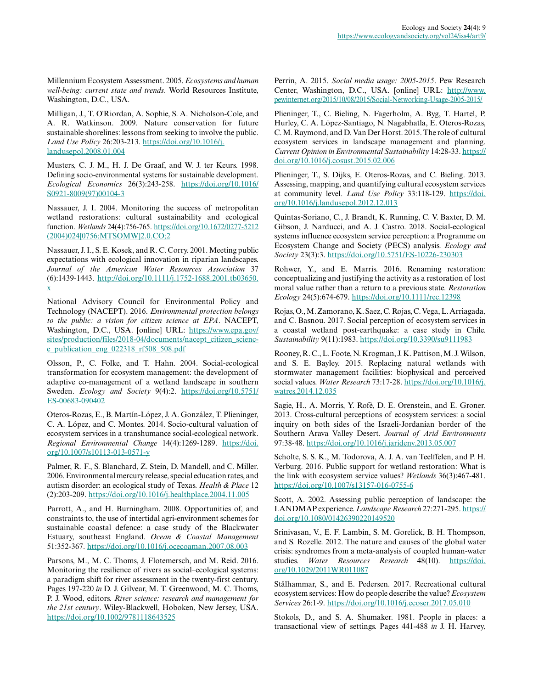Millennium Ecosystem Assessment. 2005. *Ecosystems and human well-being: current state and trends*. World Resources Institute, Washington, D.C., USA.

Milligan, J., T. O'Riordan, A. Sophie, S. A. Nicholson-Cole, and A. R. Watkinson. 2009. Nature conservation for future sustainable shorelines: lessons from seeking to involve the public. *Land Use Policy* 26:203-213. [https://doi.org/10.1016/j.](https://doi.org/10.1016/j.landusepol.2008.01.004) [landusepol.2008.01.004](https://doi.org/10.1016/j.landusepol.2008.01.004)

Musters, C. J. M., H. J. De Graaf, and W. J. ter Keurs. 1998. Defining socio-environmental systems for sustainable development. *Ecological Economics* 26(3):243-258. [https://doi.org/10.1016/](https://doi.org/10.1016/S0921-8009(97)00104-3) [S0921-8009\(97\)00104-3](https://doi.org/10.1016/S0921-8009(97)00104-3) 

Nassauer, J. I. 2004. Monitoring the success of metropolitan wetland restorations: cultural sustainability and ecological function. *Wetlands* 24(4):756-765. [https://doi.org/10.1672/0277-5212](https://doi.org/10.1672/0277-5212(2004)024[0756:MTSOMW]2.0.CO;2) [\(2004\)024\[0756:MTSOMW\]2.0.CO;2](https://doi.org/10.1672/0277-5212(2004)024[0756:MTSOMW]2.0.CO;2) 

Nassauer, J. I., S. E. Kosek, and R. C. Corry. 2001. Meeting public expectations with ecological innovation in riparian landscapes. *Journal of the American Water Resources Association* 37 (6):1439-1443. [http://doi.org/10.1111/j.1752-1688.2001.tb03650.](http://doi.org/10.1111/j.1752-1688.2001.tb03650.x) [x](http://doi.org/10.1111/j.1752-1688.2001.tb03650.x)

National Advisory Council for Environmental Policy and Technology (NACEPT). 2016. *Environmental protection belongs to the public: a vision for citizen science at EPA*. NACEPT, Washington, D.C., USA. [online] URL: [https://www.epa.gov/](https://www.epa.gov/sites/production/files/2018-04/documents/nacept_citizen_science_publication_eng_022318_rf508_508.pdf) [sites/production/files/2018-04/documents/nacept\\_citizen\\_scienc](https://www.epa.gov/sites/production/files/2018-04/documents/nacept_citizen_science_publication_eng_022318_rf508_508.pdf)[e\\_publication\\_eng\\_022318\\_rf508\\_508.pdf](https://www.epa.gov/sites/production/files/2018-04/documents/nacept_citizen_science_publication_eng_022318_rf508_508.pdf)

Olsson, P., C. Folke, and T. Hahn. 2004. Social-ecological transformation for ecosystem management: the development of adaptive co-management of a wetland landscape in southern Sweden. *Ecology and Society* 9(4):2. [https://doi.org/10.5751/](https://doi.org/10.5751/ES-00683-090402) [ES-00683-090402](https://doi.org/10.5751/ES-00683-090402)

Oteros-Rozas, E., B. Martín-López, J. A. González, T. Plieninger, C. A. López, and C. Montes. 2014. Socio-cultural valuation of ecosystem services in a transhumance social-ecological network. *Regional Environmental Change* 14(4):1269-1289. [https://doi.](https://doi.org/10.1007/s10113-013-0571-y) [org/10.1007/s10113-013-0571-y](https://doi.org/10.1007/s10113-013-0571-y)

Palmer, R. F., S. Blanchard, Z. Stein, D. Mandell, and C. Miller. 2006. Environmental mercury release, special education rates, and autism disorder: an ecological study of Texas. *Health & Place* 12 (2):203-209. <https://doi.org/10.1016/j.healthplace.2004.11.005>

Parrott, A., and H. Burningham. 2008. Opportunities of, and constraints to, the use of intertidal agri-environment schemes for sustainable coastal defence: a case study of the Blackwater Estuary, southeast England. *Ocean & Coastal Management* 51:352-367.<https://doi.org/10.1016/j.ocecoaman.2007.08.003>

Parsons, M., M. C. Thoms, J. Flotemersch, and M. Reid. 2016. Monitoring the resilience of rivers as social–ecological systems: a paradigm shift for river assessment in the twenty‐first century. Pages 197-220 *in* D. J. Gilvear, M. T. Greenwood, M. C. Thoms, P. J. Wood, editors. *River science: research and management for the 21st century*. Wiley-Blackwell, Hoboken, New Jersey, USA. <https://doi.org/10.1002/9781118643525>

Perrin, A. 2015. *Social media usage: 2005-2015*. Pew Research Center, Washington, D.C., USA. [online] URL: [http://www.](http://www.pewinternet.org/2015/10/08/2015/Social-Networking-Usage-2005-2015/) [pewinternet.org/2015/10/08/2015/Social-Networking-Usage-2005-2015/](http://www.pewinternet.org/2015/10/08/2015/Social-Networking-Usage-2005-2015/)

Plieninger, T., C. Bieling, N. Fagerholm, A. Byg, T. Hartel, P. Hurley, C. A. López-Santiago, N. Nagabhatla, E. Oteros-Rozas, C. M. Raymond, and D. Van Der Horst. 2015. The role of cultural ecosystem services in landscape management and planning. *Current Opinion in Environmental Sustainability* 14:28-33. [https://](https://doi.org/10.1016/j.cosust.2015.02.006) [doi.org/10.1016/j.cosust.2015.02.006](https://doi.org/10.1016/j.cosust.2015.02.006) 

Plieninger, T., S. Dijks, E. Oteros-Rozas, and C. Bieling. 2013. Assessing, mapping, and quantifying cultural ecosystem services at community level. *Land Use Policy* 33:118-129. [https://doi.](https://doi.org/10.1016/j.landusepol.2012.12.013) [org/10.1016/j.landusepol.2012.12.013](https://doi.org/10.1016/j.landusepol.2012.12.013) 

Quintas-Soriano, C., J. Brandt, K. Running, C. V. Baxter, D. M. Gibson, J. Narducci, and A. J. Castro. 2018. Social-ecological systems influence ecosystem service perception: a Programme on Ecosystem Change and Society (PECS) analysis. *Ecology and Society* 23(3):3.<https://doi.org/10.5751/ES-10226-230303>

Rohwer, Y., and E. Marris. 2016. Renaming restoration: conceptualizing and justifying the activity as a restoration of lost moral value rather than a return to a previous state. *Restoration Ecology* 24(5):674-679.<https://doi.org/10.1111/rec.12398>

Rojas, O., M. Zamorano, K. Saez, C. Rojas, C. Vega, L. Arriagada, and C. Basnou. 2017. Social perception of ecosystem services in a coastal wetland post-earthquake: a case study in Chile. *Sustainability* 9(11):1983. <https://doi.org/10.3390/su9111983>

Rooney, R. C., L. Foote, N. Krogman, J. K. Pattison, M. J. Wilson, and S. E. Bayley. 2015. Replacing natural wetlands with stormwater management facilities: biophysical and perceived social values. *Water Research* 73:17-28. [https://doi.org/10.1016/j.](https://doi.org/10.1016/j.watres.2014.12.035) [watres.2014.12.035](https://doi.org/10.1016/j.watres.2014.12.035) 

Sagie, H., A. Morris, Y. Rofè, D. E. Orenstein, and E. Groner. 2013. Cross-cultural perceptions of ecosystem services: a social inquiry on both sides of the Israeli-Jordanian border of the Southern Arava Valley Desert. *Journal of Arid Environments* 97:38-48.<https://doi.org/10.1016/j.jaridenv.2013.05.007>

Scholte, S. S. K., M. Todorova, A. J. A. van Teelffelen, and P. H. Verburg. 2016. Public support for wetland restoration: What is the link with ecosystem service values? *Wetlands* 36(3):467-481. <https://doi.org/10.1007/s13157-016-0755-6>

Scott, A. 2002. Assessing public perception of landscape: the LANDMAP experience. *Landscape Research* 27:271-295. [https://](https://doi.org/10.1080/01426390220149520) [doi.org/10.1080/01426390220149520](https://doi.org/10.1080/01426390220149520) 

Srinivasan, V., E. F. Lambin, S. M. Gorelick, B. H. Thompson, and S. Rozelle. 2012. The nature and causes of the global water crisis: syndromes from a meta-analysis of coupled human-water studies. *Water Resources Research* 48(10). [https://doi.](https://doi.org/10.1029/2011WR011087) [org/10.1029/2011WR011087](https://doi.org/10.1029/2011WR011087)

Stålhammar, S., and E. Pedersen. 2017. Recreational cultural ecosystem services: How do people describe the value? *Ecosystem Services* 26:1-9. <https://doi.org/10.1016/j.ecoser.2017.05.010>

Stokols, D., and S. A. Shumaker. 1981. People in places: a transactional view of settings. Pages 441-488 *in* J. H. Harvey,